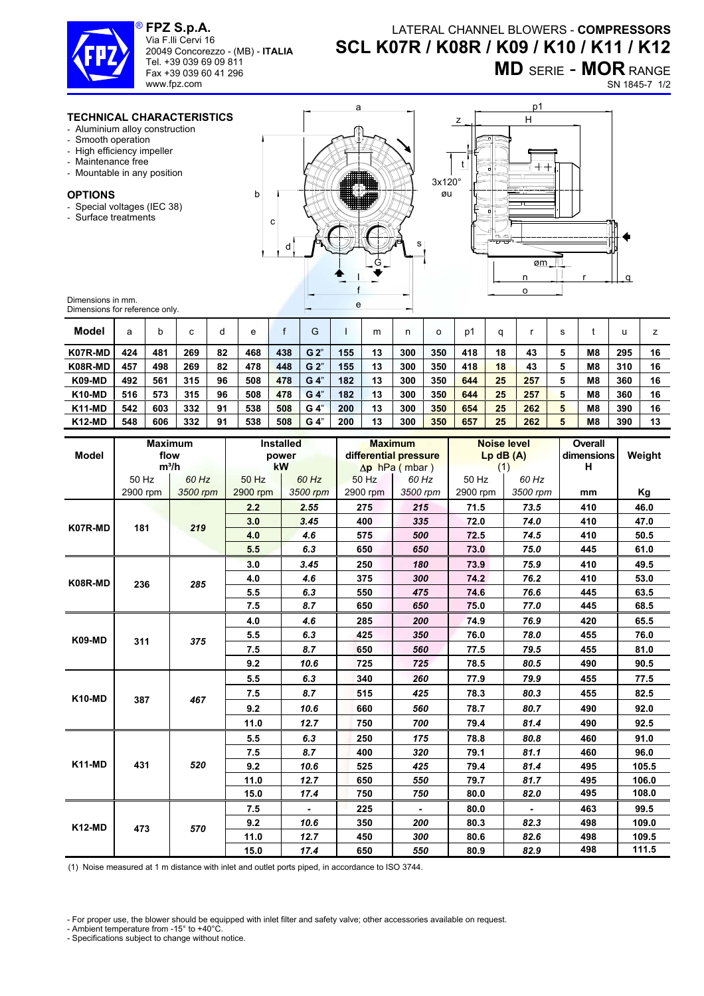

**FPZ S.p.A.**  Via F.lli Cervi 16 20049 Concorezzo - (MB) - **ITALIA**

Tel. +39 039 69 09 811 Fax +39 039 60 41 296 www.fpz.com

LATERAL CHANNEL BLOWERS - **COMPRESSORS SCL K07R / K08R / K09 / K10 / K11 / K12**

**MD** SERIE - **MOR** RANGE

SN 1845-7 1/2

## **TECHNICAL CHARACTERISTICS**

- Aluminium alloy construction
- Smooth operation
- High efficiency impeller
- Maintenance free
- Mountable in any position

## **OPTIONS**

- Special voltages (IEC 38)
- Surface treatments



a



Dimensions in mm. Dimensions for reference only.

| Model         | а   |     | ⌒<br>U | O  | e   |     | G              |     | m  | n   | o   | p1  |    |     | s |                | U   |    |
|---------------|-----|-----|--------|----|-----|-----|----------------|-----|----|-----|-----|-----|----|-----|---|----------------|-----|----|
| K07R-MD       | 424 | 481 | 269    | 82 | 468 | 438 | G <sub>2</sub> | 155 | 13 | 300 | 350 | 418 | 18 | 43  |   | M <sub>8</sub> | 295 | 16 |
| K08R-MD       | 457 | 498 | 269    | 82 | 478 | 448 | G <sub>2</sub> | 155 | 13 | 300 | 350 | 418 | 18 | 43  | 5 | M <sub>8</sub> | 310 | 16 |
| <b>K09-MD</b> | 492 | 561 | 315    | 96 | 508 | 478 | $G_4$          | 182 | 13 | 300 | 350 | 644 | 25 | 257 | 5 | M <sub>8</sub> | 360 | 16 |
| <b>K10-MD</b> | 516 | 573 | 315    | 96 | 508 | 478 | $G_4$          | 182 | 13 | 300 | 350 | 644 | 25 | 257 | 5 | M <sub>8</sub> | 360 | 16 |
| <b>K11-MD</b> | 542 | 603 | 332    | 91 | 538 | 508 | G <sub>4</sub> | 200 | 13 | 300 | 350 | 654 | 25 | 262 | 5 | M8             | 390 | 16 |
| <b>K12-MD</b> | 548 | 606 | 332    | 91 | 538 | 508 | G <sub>4</sub> | 200 | 13 | 300 | 350 | 657 | 25 | 262 |   | M <sub>8</sub> | 390 | 13 |

| <b>Model</b>  |          | <b>Maximum</b><br>flow<br>$m^3/h$ |          | Installed<br>power<br>kW |          | <b>Maximum</b><br>differential pressure<br>$\Delta p$ hPa (mbar) | $Lp$ dB $(A)$<br>(1) | <b>Noise level</b> | <b>Overall</b><br>dimensions<br>н | Weight |
|---------------|----------|-----------------------------------|----------|--------------------------|----------|------------------------------------------------------------------|----------------------|--------------------|-----------------------------------|--------|
|               | 50 Hz    | 60 Hz                             | 50 Hz    | 60 Hz                    | 50 Hz    | 60 Hz                                                            | 50 Hz                | 60 Hz              |                                   |        |
|               | 2900 rpm | 3500 rpm                          | 2900 rpm | 3500 rpm                 | 2900 rpm | 3500 rpm                                                         | 2900 rpm             | 3500 rpm           | mm                                | Kg     |
| K07R-MD       |          | 219                               | 2.2      | 2.55                     | 275      | 215                                                              | 71.5                 | 73.5               | 410                               | 46.0   |
|               | 181      |                                   | 3.0      | 3.45                     | 400      | 335                                                              | 72.0                 | 74.0               | 410                               | 47.0   |
|               |          |                                   | 4.0      | 4.6                      | 575      | 500                                                              | 72.5                 | 74.5               | 410                               | 50.5   |
|               |          |                                   | 5.5      | 6.3                      | 650      | 650                                                              | 73.0                 | 75.0               | 445                               | 61.0   |
| K08R-MD       | 236      | 285                               | 3.0      | 3.45                     | 250      | 180                                                              | 73.9                 | 75.9               | 410                               | 49.5   |
|               |          |                                   | 4.0      | 4.6                      | 375      | 300                                                              | 74.2                 | 76.2               | 410                               | 53.0   |
|               |          |                                   | 5.5      | 6.3                      | 550      | 475                                                              | 74.6                 | 76.6               | 445                               | 63.5   |
|               |          |                                   | 7.5      | 8.7                      | 650      | 650                                                              | 75.0                 | 77.0               | 445                               | 68.5   |
| <b>K09-MD</b> | 311      | 375                               | 4.0      | 4.6                      | 285      | 200                                                              | 74.9                 | 76.9               | 420                               | 65.5   |
|               |          |                                   | 5.5      | 6.3                      | 425      | 350                                                              | 76.0                 | 78.0               | 455                               | 76.0   |
|               |          |                                   | 7.5      | 8.7                      | 650      | 560                                                              | 77.5                 | 79.5               | 455                               | 81.0   |
|               |          |                                   | 9.2      | 10.6                     | 725      | 725                                                              | 78.5                 | 80.5               | 490                               | 90.5   |
| <b>K10-MD</b> | 387      | 467                               | 5.5      | 6.3                      | 340      | 260                                                              | 77.9                 | 79.9               | 455                               | 77.5   |
|               |          |                                   | 7.5      | 8.7                      | 515      | 425                                                              | 78.3                 | 80.3               | 455                               | 82.5   |
|               |          |                                   | 9.2      | 10.6                     | 660      | 560                                                              | 78.7                 | 80.7               | 490                               | 92.0   |
|               |          |                                   | 11.0     | 12.7                     | 750      | 700                                                              | 79.4                 | 81.4               | 490                               | 92.5   |
| <b>K11-MD</b> |          | 520                               | 5.5      | 6.3                      | 250      | 175                                                              | 78.8                 | 80.8               | 460                               | 91.0   |
|               | 431      |                                   | 7.5      | 8.7                      | 400      | 320                                                              | 79.1                 | 81.1               | 460                               | 96.0   |
|               |          |                                   | 9.2      | 10.6                     | 525      | 425                                                              | 79.4                 | 81.4               | 495                               | 105.5  |
|               |          |                                   | 11.0     | 12.7                     | 650      | 550                                                              | 79.7                 | 81.7               | 495                               | 106.0  |
|               |          |                                   | 15.0     | 17.4                     | 750      | 750                                                              | 80.0                 | 82.0               | 495                               | 108.0  |
| <b>K12-MD</b> |          | 570                               | 7.5      | $\blacksquare$           | 225      | $\blacksquare$                                                   | 80.0                 | $\blacksquare$     | 463                               | 99.5   |
|               | 473      |                                   | 9.2      | 10.6                     | 350      | 200                                                              | 80.3                 | 82.3               | 498                               | 109.0  |
|               |          |                                   | 11.0     | 12.7                     | 450      | 300                                                              | 80.6                 | 82.6               | 498                               | 109.5  |
|               |          |                                   | 15.0     | 17.4                     | 650      | 550                                                              | 80.9                 | 82.9               | 498                               | 111.5  |

(1) Noise measured at 1 m distance with inlet and outlet ports piped, in accordance to ISO 3744.

- For proper use, the blower should be equipped with inlet filter and safety valve; other accessories available on request.

- Ambient temperature from -15° to +40°C.

- Specifications subject to change without notice.